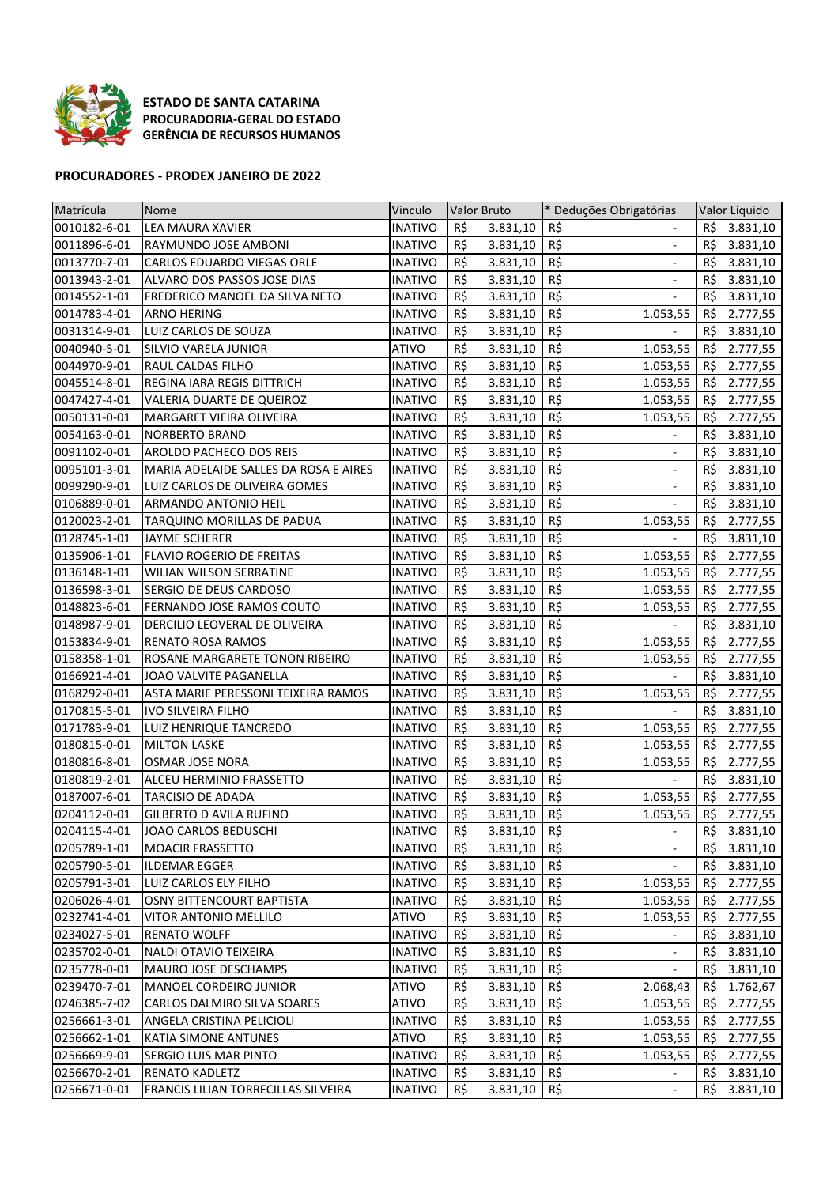

ESTADO DE SANTA CATARINA PROCURADORIA-GERAL DO ESTADO GERÊNCIA DE RECURSOS HUMANOS

## PROCURADORES - PRODEX JANEIRO DE 2022

| Matrícula    | Nome                                  | Vinculo        |             | Valor Bruto | * Deduções Obrigatórias             |     | Valor Líquido |
|--------------|---------------------------------------|----------------|-------------|-------------|-------------------------------------|-----|---------------|
| 0010182-6-01 | LEA MAURA XAVIER                      | <b>INATIVO</b> | R\$         | 3.831,10    | R\$                                 | R\$ | 3.831,10      |
| 0011896-6-01 | RAYMUNDO JOSE AMBONI                  | <b>INATIVO</b> | R\$         | 3.831,10    | R\$<br>$\overline{\phantom{a}}$     | R\$ | 3.831,10      |
| 0013770-7-01 | CARLOS EDUARDO VIEGAS ORLE            | <b>INATIVO</b> | R\$         | 3.831,10    | R\$<br>$\overline{a}$               | R\$ | 3.831,10      |
| 0013943-2-01 | ALVARO DOS PASSOS JOSE DIAS           | <b>INATIVO</b> | R\$         | 3.831,10    | R\$<br>$\qquad \qquad \blacksquare$ | R\$ | 3.831,10      |
| 0014552-1-01 | FREDERICO MANOEL DA SILVA NETO        | <b>INATIVO</b> | R\$         | 3.831,10    | R\$<br>$\overline{\phantom{a}}$     | R\$ | 3.831,10      |
| 0014783-4-01 | <b>ARNO HERING</b>                    | <b>INATIVO</b> | R\$         | 3.831,10    | R\$<br>1.053,55                     | R\$ | 2.777,55      |
| 0031314-9-01 | LUIZ CARLOS DE SOUZA                  | <b>INATIVO</b> | R\$         | 3.831,10    | R\$                                 | R\$ | 3.831,10      |
| 0040940-5-01 | SILVIO VARELA JUNIOR                  | <b>ATIVO</b>   | R\$         | 3.831,10    | R\$<br>1.053,55                     | R\$ | 2.777,55      |
| 0044970-9-01 | RAUL CALDAS FILHO                     | <b>INATIVO</b> | R\$         | 3.831,10    | R\$<br>1.053,55                     | R\$ | 2.777,55      |
| 0045514-8-01 | <b>REGINA IARA REGIS DITTRICH</b>     | <b>INATIVO</b> | R\$         | 3.831,10    | R\$<br>1.053,55                     | R\$ | 2.777,55      |
| 0047427-4-01 | VALERIA DUARTE DE QUEIROZ             | <b>INATIVO</b> | R\$         | 3.831,10    | R\$<br>1.053,55                     | R\$ | 2.777,55      |
| 0050131-0-01 | MARGARET VIEIRA OLIVEIRA              | <b>INATIVO</b> | R\$         | 3.831,10    | R\$<br>1.053,55                     | R\$ | 2.777,55      |
| 0054163-0-01 | <b>NORBERTO BRAND</b>                 | <b>INATIVO</b> | R\$         | 3.831,10    | R\$                                 | R\$ | 3.831,10      |
| 0091102-0-01 | AROLDO PACHECO DOS REIS               | <b>INATIVO</b> | R\$         | 3.831,10    | R\$                                 | R\$ | 3.831,10      |
| 0095101-3-01 | MARIA ADELAIDE SALLES DA ROSA E AIRES | <b>INATIVO</b> | R\$         | 3.831,10    | R\$                                 | R\$ | 3.831,10      |
| 0099290-9-01 | LUIZ CARLOS DE OLIVEIRA GOMES         | <b>INATIVO</b> | R\$         | 3.831,10    | R\$<br>$\overline{\phantom{a}}$     | R\$ | 3.831,10      |
| 0106889-0-01 | <b>ARMANDO ANTONIO HEIL</b>           | <b>INATIVO</b> | R\$         | 3.831,10    | R\$                                 | R\$ | 3.831,10      |
| 0120023-2-01 | TARQUINO MORILLAS DE PADUA            | <b>INATIVO</b> | R\$         | 3.831,10    | R\$<br>1.053,55                     | R\$ | 2.777,55      |
| 0128745-1-01 | JAYME SCHERER                         | <b>INATIVO</b> | R\$         | 3.831,10    | R\$                                 | R\$ | 3.831,10      |
| 0135906-1-01 | FLAVIO ROGERIO DE FREITAS             | INATIVO        | R\$         | 3.831,10    | R\$<br>1.053,55                     | R\$ | 2.777,55      |
| 0136148-1-01 | WILIAN WILSON SERRATINE               | <b>INATIVO</b> | R\$         | 3.831,10    | R\$<br>1.053,55                     | RS  | 2.777,55      |
| 0136598-3-01 | SERGIO DE DEUS CARDOSO                | <b>INATIVO</b> | R\$         | 3.831,10    | R\$<br>1.053,55                     | R\$ | 2.777,55      |
| 0148823-6-01 | FERNANDO JOSE RAMOS COUTO             | <b>INATIVO</b> | R\$         | 3.831,10    | R\$<br>1.053,55                     | R\$ | 2.777,55      |
| 0148987-9-01 | DERCILIO LEOVERAL DE OLIVEIRA         | INATIVO        | R\$         | 3.831,10    | R\$                                 | R\$ | 3.831,10      |
| 0153834-9-01 | <b>RENATO ROSA RAMOS</b>              | <b>INATIVO</b> | R\$         | 3.831,10    | R\$<br>1.053,55                     | R\$ | 2.777,55      |
| 0158358-1-01 | ROSANE MARGARETE TONON RIBEIRO        | <b>INATIVO</b> | R\$         | 3.831,10    | R\$<br>1.053,55                     | R\$ | 2.777,55      |
| 0166921-4-01 | JOAO VALVITE PAGANELLA                | <b>INATIVO</b> | R\$         | 3.831,10    | R\$                                 | R\$ | 3.831,10      |
| 0168292-0-01 | ASTA MARIE PERESSONI TEIXEIRA RAMOS   | <b>INATIVO</b> | R\$         | 3.831,10    | R\$<br>1.053,55                     | R\$ | 2.777,55      |
| 0170815-5-01 | <b>IVO SILVEIRA FILHO</b>             | <b>INATIVO</b> | R\$         | 3.831,10    | R\$                                 | R\$ | 3.831,10      |
| 0171783-9-01 | LUIZ HENRIQUE TANCREDO                | <b>INATIVO</b> | R\$         | 3.831,10    | R\$<br>1.053,55                     | R\$ | 2.777,55      |
| 0180815-0-01 | <b>MILTON LASKE</b>                   | <b>INATIVO</b> | R\$         | 3.831,10    | R\$<br>1.053,55                     | R\$ | 2.777,55      |
| 0180816-8-01 | <b>OSMAR JOSE NORA</b>                | <b>INATIVO</b> | R\$         | 3.831,10    | R\$<br>1.053,55                     | R\$ | 2.777,55      |
| 0180819-2-01 | ALCEU HERMINIO FRASSETTO              | <b>INATIVO</b> | R\$         | 3.831,10    | R\$                                 | R\$ | 3.831,10      |
| 0187007-6-01 | <b>TARCISIO DE ADADA</b>              | <b>INATIVO</b> | R\$         | 3.831,10    | R\$<br>1.053,55                     | R\$ | 2.777,55      |
| 0204112-0-01 | <b>GILBERTO D AVILA RUFINO</b>        | <b>INATIVO</b> | R\$         | 3.831,10    | R\$<br>1.053,55                     | R\$ | 2.777,55      |
| 0204115-4-01 | JOAO CARLOS BEDUSCHI                  | <b>INATIVO</b> | $R\ddot{S}$ | 3.831,10    | $R\frac{2}{3}$                      |     | $R\$ 3.831,10 |
| 0205789-1-01 | <b>MOACIR FRASSETTO</b>               | <b>INATIVO</b> | R\$         | 3.831,10    | R\$                                 | R\$ | 3.831,10      |
| 0205790-5-01 | <b>ILDEMAR EGGER</b>                  | <b>INATIVO</b> | R\$         | 3.831,10    | R\$                                 | R\$ | 3.831,10      |
| 0205791-3-01 | LUIZ CARLOS ELY FILHO                 | <b>INATIVO</b> | R\$         | 3.831,10    | R\$<br>1.053,55                     | RŞ. | 2.777,55      |
| 0206026-4-01 | OSNY BITTENCOURT BAPTISTA             | <b>INATIVO</b> | R\$         | 3.831,10    | R\$<br>1.053,55                     | RŞ. | 2.777,55      |
| 0232741-4-01 | VITOR ANTONIO MELLILO                 | ATIVO          | R\$         | 3.831,10    | R\$<br>1.053,55                     | R\$ | 2.777,55      |
| 0234027-5-01 | <b>RENATO WOLFF</b>                   | <b>INATIVO</b> | R\$         | 3.831,10    | R\$                                 | R\$ | 3.831,10      |
| 0235702-0-01 | NALDI OTAVIO TEIXEIRA                 | <b>INATIVO</b> | R\$         | 3.831,10    | R\$                                 | R\$ | 3.831,10      |
| 0235778-0-01 | MAURO JOSE DESCHAMPS                  | <b>INATIVO</b> | R\$         | 3.831,10    | R\$                                 | RŞ. | 3.831,10      |
| 0239470-7-01 | MANOEL CORDEIRO JUNIOR                | ATIVO          | R\$         | 3.831,10    | R\$<br>2.068,43                     | RŞ. | 1.762,67      |
| 0246385-7-02 | CARLOS DALMIRO SILVA SOARES           | ATIVO          | R\$         | 3.831,10    | R\$<br>1.053,55                     | RŞ. | 2.777,55      |
| 0256661-3-01 | ANGELA CRISTINA PELICIOLI             | <b>INATIVO</b> | R\$         | 3.831,10    | R\$<br>1.053,55                     | RŞ. | 2.777,55      |
| 0256662-1-01 | KATIA SIMONE ANTUNES                  | ATIVO          | R\$         | 3.831,10    | R\$<br>1.053,55                     | RŞ. | 2.777,55      |
| 0256669-9-01 | SERGIO LUIS MAR PINTO                 | <b>INATIVO</b> | R\$         | 3.831,10    | R\$<br>1.053,55                     | R\$ | 2.777,55      |
| 0256670-2-01 | RENATO KADLETZ                        | <b>INATIVO</b> | R\$         | 3.831,10    | R\$                                 | R\$ | 3.831,10      |
| 0256671-0-01 | FRANCIS LILIAN TORRECILLAS SILVEIRA   | <b>INATIVO</b> | R\$         | 3.831,10    | R\$<br>$\overline{\phantom{a}}$     | R\$ | 3.831,10      |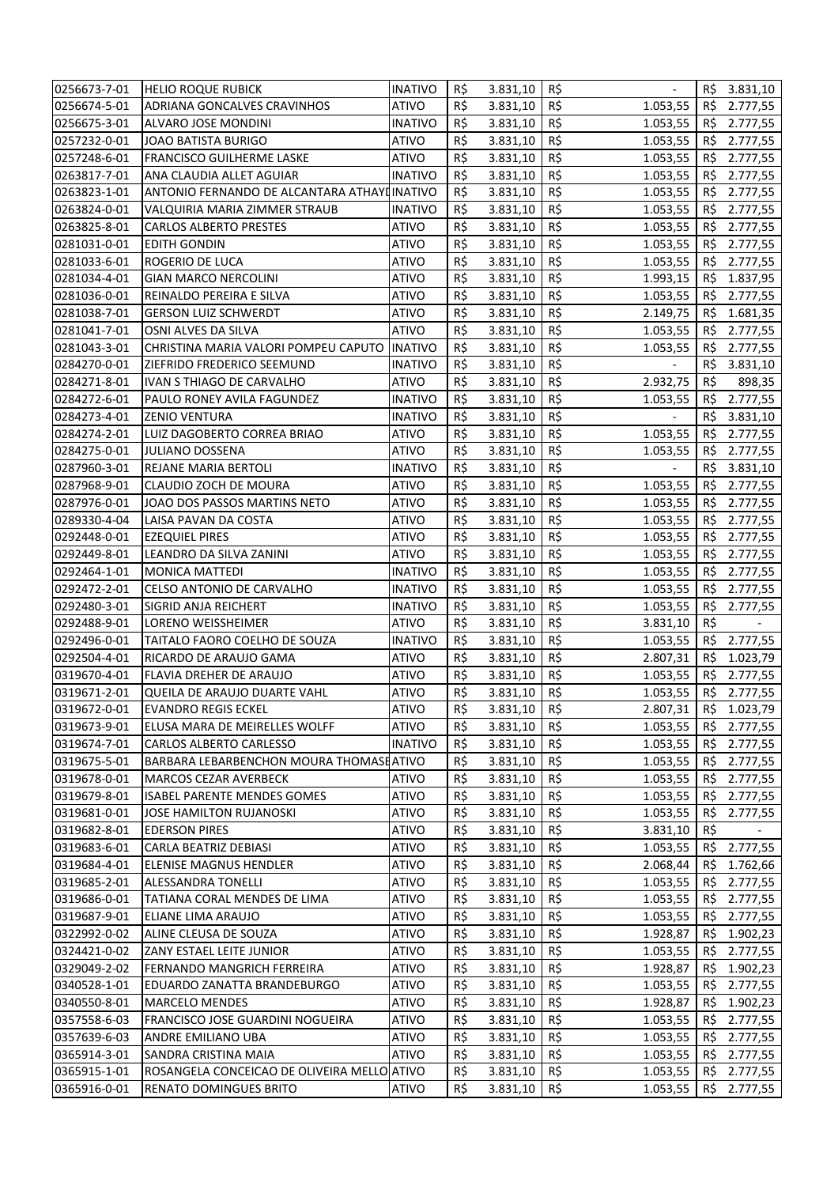| 0256673-7-01                 | <b>HELIO ROQUE RUBICK</b>                             | <b>INATIVO</b>                   | R\$        | 3.831,10             | R\$                         |                 | R\$ 3.831,10 |
|------------------------------|-------------------------------------------------------|----------------------------------|------------|----------------------|-----------------------------|-----------------|--------------|
| 0256674-5-01                 | <b>ADRIANA GONCALVES CRAVINHOS</b>                    | ATIVO                            | R\$        | 3.831,10             | R\$<br>1.053,55             | R\$             | 2.777,55     |
| 0256675-3-01                 | ALVARO JOSE MONDINI                                   | <b>INATIVO</b>                   | R\$        | 3.831,10             | R\$<br>1.053,55             | RŞ.             | 2.777,55     |
| 0257232-0-01                 | <b>JOAO BATISTA BURIGO</b>                            | ATIVO                            | R\$        | 3.831,10             | R\$<br>1.053,55             | R\$             | 2.777,55     |
| 0257248-6-01                 | <b>FRANCISCO GUILHERME LASKE</b>                      | ATIVO                            | R\$        | 3.831,10             | R\$<br>1.053,55             | R\$             | 2.777,55     |
| 0263817-7-01                 | ANA CLAUDIA ALLET AGUIAR                              | <b>INATIVO</b>                   | R\$        | 3.831,10             | R\$<br>1.053,55             | R\$             | 2.777,55     |
| 0263823-1-01                 | ANTONIO FERNANDO DE ALCANTARA ATHAYI INATIVO          |                                  | R\$        | 3.831,10             | R\$<br>1.053,55             | R\$             | 2.777,55     |
| 0263824-0-01                 | VALQUIRIA MARIA ZIMMER STRAUB                         | <b>INATIVO</b>                   | R\$        | 3.831,10             | R\$<br>1.053,55             | R\$             | 2.777,55     |
| 0263825-8-01                 | <b>CARLOS ALBERTO PRESTES</b>                         | <b>ATIVO</b>                     | R\$        | 3.831,10             | R\$<br>1.053,55             | R\$             | 2.777,55     |
| 0281031-0-01                 | <b>EDITH GONDIN</b>                                   | <b>ATIVO</b>                     | R\$        | 3.831,10             | R\$<br>1.053,55             | R\$             | 2.777,55     |
| 0281033-6-01                 | ROGERIO DE LUCA                                       | ATIVO                            | R\$        | 3.831,10             | R\$<br>1.053,55             | R\$             | 2.777,55     |
| 0281034-4-01                 | <b>GIAN MARCO NERCOLINI</b>                           | <b>ATIVO</b>                     | R\$        | 3.831,10             | R\$<br>1.993,15             | R\$             | 1.837,95     |
| 0281036-0-01                 | REINALDO PEREIRA E SILVA                              | <b>ATIVO</b>                     | R\$        | 3.831,10             | R\$<br>1.053,55             | R\$             | 2.777,55     |
| 0281038-7-01                 | <b>GERSON LUIZ SCHWERDT</b>                           | <b>ATIVO</b>                     | R\$        | 3.831,10             | R\$<br>2.149,75             | R\$             | 1.681,35     |
| 0281041-7-01                 | OSNI ALVES DA SILVA                                   | <b>ATIVO</b>                     | R\$        | 3.831,10             | R\$<br>1.053,55             | RŞ.             | 2.777,55     |
| 0281043-3-01                 | CHRISTINA MARIA VALORI POMPEU CAPUTO                  | <b>INATIVO</b>                   | R\$        | 3.831,10             | R\$<br>1.053,55             | RŞ.             | 2.777,55     |
| 0284270-0-01                 | ZIEFRIDO FREDERICO SEEMUND                            | <b>INATIVO</b>                   | R\$        | 3.831,10             | R\$                         | R\$             | 3.831,10     |
| 0284271-8-01                 | IVAN S THIAGO DE CARVALHO                             | ATIVO                            | R\$        | 3.831,10             | R\$<br>2.932,75             | R\$             | 898,35       |
| 0284272-6-01                 | PAULO RONEY AVILA FAGUNDEZ                            | <b>INATIVO</b>                   | R\$        | 3.831,10             | R\$<br>1.053,55             | R\$             | 2.777,55     |
| 0284273-4-01                 | <b>ZENIO VENTURA</b>                                  | <b>INATIVO</b>                   | R\$        |                      | R\$                         | R\$             |              |
|                              |                                                       |                                  | R\$        | 3.831,10             | R\$                         |                 | 3.831,10     |
| 0284274-2-01<br>0284275-0-01 | LUIZ DAGOBERTO CORREA BRIAO<br><b>JULIANO DOSSENA</b> | ATIVO<br>ATIVO                   | R\$        | 3.831,10<br>3.831,10 | 1.053,55<br>R\$<br>1.053,55 | RS<br><b>RS</b> | 2.777,55     |
|                              | <b>REJANE MARIA BERTOLI</b>                           |                                  | R\$        |                      | R\$                         |                 | 2.777,55     |
| 0287960-3-01                 |                                                       | <b>INATIVO</b>                   |            | 3.831,10             |                             | R\$             | 3.831,10     |
| 0287968-9-01                 | CLAUDIO ZOCH DE MOURA                                 | ATIVO                            | R\$        | 3.831,10             | R\$<br>1.053,55             | RŞ.             | 2.777,55     |
| 0287976-0-01                 | JOAO DOS PASSOS MARTINS NETO                          | ATIVO                            | R\$        | 3.831,10             | R\$<br>1.053,55             | RŞ.             | 2.777,55     |
| 0289330-4-04                 | LAISA PAVAN DA COSTA                                  | ATIVO                            | R\$        | 3.831,10             | R\$<br>1.053,55             | R\$             | 2.777,55     |
| 0292448-0-01                 | <b>EZEQUIEL PIRES</b>                                 | ATIVO                            | R\$<br>R\$ | 3.831,10             | R\$<br>1.053,55<br>R\$      | RŞ.             | 2.777,55     |
| 0292449-8-01                 | LEANDRO DA SILVA ZANINI                               | ATIVO                            |            | 3.831,10             | 1.053,55                    | RŞ.             | 2.777,55     |
| 0292464-1-01                 | <b>MONICA MATTEDI</b>                                 | INATIVO                          | R\$<br>R\$ | 3.831,10             | R\$<br>1.053,55<br>R\$      | R\$             | 2.777,55     |
| 0292472-2-01<br>0292480-3-01 | CELSO ANTONIO DE CARVALHO<br>SIGRID ANJA REICHERT     | <b>INATIVO</b><br><b>INATIVO</b> | R\$        | 3.831,10             | 1.053,55<br>R\$             | R\$<br>R\$      | 2.777,55     |
| 0292488-9-01                 | LORENO WEISSHEIMER                                    | <b>ATIVO</b>                     | R\$        | 3.831,10             | 1.053,55<br>R\$             | R\$             | 2.777,55     |
| 0292496-0-01                 | TAITALO FAORO COELHO DE SOUZA                         | <b>INATIVO</b>                   | R\$        | 3.831,10<br>3.831,10 | 3.831,10<br>R\$<br>1.053,55 | R\$             | 2.777,55     |
| 0292504-4-01                 | RICARDO DE ARAUJO GAMA                                | ATIVO                            | R\$        | 3.831,10             | R\$<br>2.807,31             | R\$             | 1.023,79     |
| 0319670-4-01                 | FLAVIA DREHER DE ARAUJO                               | <b>ATIVO</b>                     | R\$        | 3.831,10             | R\$<br>1.053,55             | R\$             | 2.777,55     |
| 0319671-2-01                 | QUEILA DE ARAUJO DUARTE VAHL                          | <b>ATIVO</b>                     | R\$        | 3.831,10             | R\$<br>1.053,55             | R\$             | 2.777,55     |
| 0319672-0-01                 | <b>EVANDRO REGIS ECKEL</b>                            | ATIVO                            | R\$        | 3.831,10             | R\$<br>2.807,31             |                 | R\$ 1.023,79 |
| 0319673-9-01                 | ELUSA MARA DE MEIRELLES WOLFF                         | <b>ATIVO</b>                     | R\$        | 3.831,10             | R\$<br>1.053,55             | R\$             | 2.777,55     |
| 0319674-7-01                 | CARLOS ALBERTO CARLESSO                               | <b>INATIVO</b>                   | R\$        | 3.831,10             | R\$<br>1.053,55             | RŞ.             | 2.777,55     |
| 0319675-5-01                 | BARBARA LEBARBENCHON MOURA THOMASHATIVO               |                                  | R\$        | 3.831,10             | R\$<br>1.053,55             | RŞ.             | 2.777,55     |
| 0319678-0-01                 | <b>MARCOS CEZAR AVERBECK</b>                          | <b>ATIVO</b>                     | R\$        | 3.831,10             | R\$<br>1.053,55             | RŞ.             | 2.777,55     |
| 0319679-8-01                 | <b>ISABEL PARENTE MENDES GOMES</b>                    | ATIVO                            | R\$        | 3.831,10             | R\$<br>1.053,55             | RŞ.             | 2.777,55     |
| 0319681-0-01                 | JOSE HAMILTON RUJANOSKI                               | ATIVO                            | R\$        | 3.831,10             | R\$<br>1.053,55             | R\$             | 2.777,55     |
| 0319682-8-01                 | <b>EDERSON PIRES</b>                                  | ATIVO                            | R\$        | 3.831,10             | R\$<br>3.831,10             | R\$             |              |
| 0319683-6-01                 | CARLA BEATRIZ DEBIASI                                 | <b>ATIVO</b>                     | R\$        | 3.831,10             | R\$<br>1.053,55             | R\$             | 2.777,55     |
| 0319684-4-01                 | <b>ELENISE MAGNUS HENDLER</b>                         | ATIVO                            | R\$        | 3.831,10             | R\$<br>2.068,44             | RS              | 1.762,66     |
| 0319685-2-01                 | <b>ALESSANDRA TONELLI</b>                             | ATIVO                            | R\$        | 3.831,10             | R\$<br>1.053,55             | R\$             | 2.777,55     |
| 0319686-0-01                 | TATIANA CORAL MENDES DE LIMA                          | ATIVO                            | R\$        | 3.831,10             | R\$<br>1.053,55             | R\$             | 2.777,55     |
| 0319687-9-01                 | ELIANE LIMA ARAUJO                                    | ATIVO                            | R\$        | 3.831,10             | R\$<br>1.053,55             | RŞ.             | 2.777,55     |
| 0322992-0-02                 | ALINE CLEUSA DE SOUZA                                 | ATIVO                            | R\$        | 3.831,10             | R\$<br>1.928,87             | RŞ.             | 1.902,23     |
| 0324421-0-02                 | ZANY ESTAEL LEITE JUNIOR                              | ATIVO                            | R\$        | 3.831,10             | R\$<br>1.053,55             | RŞ.             | 2.777,55     |
| 0329049-2-02                 | FERNANDO MANGRICH FERREIRA                            | ATIVO                            | R\$        | 3.831,10             | R\$<br>1.928,87             | RŞ.             | 1.902,23     |
| 0340528-1-01                 | EDUARDO ZANATTA BRANDEBURGO                           | ATIVO                            | R\$        | 3.831,10             | R\$<br>1.053,55             | RŞ.             | 2.777,55     |
| 0340550-8-01                 | <b>MARCELO MENDES</b>                                 | ATIVO                            | R\$        | 3.831,10             | R\$<br>1.928,87             | RŞ.             | 1.902,23     |
| 0357558-6-03                 | FRANCISCO JOSE GUARDINI NOGUEIRA                      | <b>ATIVO</b>                     | R\$        | 3.831,10             | R\$<br>1.053,55             | <b>RS</b>       | 2.777,55     |
| 0357639-6-03                 | ANDRE EMILIANO UBA                                    | ATIVO                            | R\$        | 3.831,10             | R\$<br>1.053,55             | RŞ.             | 2.777,55     |
| 0365914-3-01                 | SANDRA CRISTINA MAIA                                  | <b>ATIVO</b>                     | R\$        | 3.831,10             | R\$<br>1.053,55             | <b>RS</b>       | 2.777,55     |
| 0365915-1-01                 | ROSANGELA CONCEICAO DE OLIVEIRA MELLO ATIVO           |                                  | R\$        | 3.831,10             | R\$<br>1.053,55             | R\$             | 2.777,55     |
| 0365916-0-01                 | <b>RENATO DOMINGUES BRITO</b>                         | ATIVO                            | R\$        | 3.831,10             | R\$<br>1.053,55             | R\$             | 2.777,55     |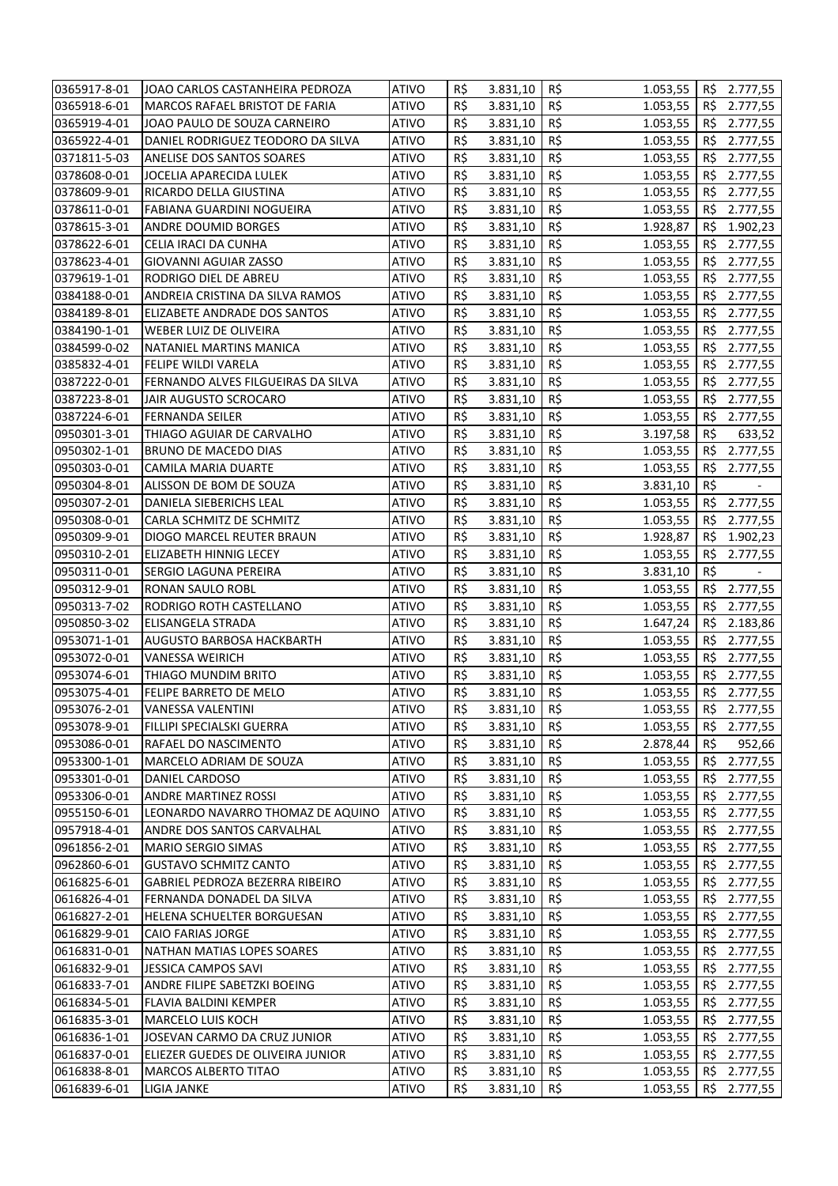| 0365917-8-01 | JOAO CARLOS CASTANHEIRA PEDROZA    | <b>ATIVO</b> | R\$ | 3.831,10 | R\$<br>1.053,55 |           | R\$ 2.777,55 |
|--------------|------------------------------------|--------------|-----|----------|-----------------|-----------|--------------|
| 0365918-6-01 | MARCOS RAFAEL BRISTOT DE FARIA     | <b>ATIVO</b> | R\$ | 3.831,10 | R\$<br>1.053,55 | R\$       | 2.777,55     |
| 0365919-4-01 | JOAO PAULO DE SOUZA CARNEIRO       | <b>ATIVO</b> | R\$ | 3.831,10 | R\$<br>1.053,55 | RŞ.       | 2.777,55     |
| 0365922-4-01 | DANIEL RODRIGUEZ TEODORO DA SILVA  | <b>ATIVO</b> | R\$ | 3.831,10 | R\$<br>1.053,55 | R\$       | 2.777,55     |
| 0371811-5-03 | ANELISE DOS SANTOS SOARES          | <b>ATIVO</b> | R\$ | 3.831,10 | R\$<br>1.053,55 | R\$       | 2.777,55     |
| 0378608-0-01 | JOCELIA APARECIDA LULEK            | <b>ATIVO</b> | R\$ | 3.831,10 | R\$<br>1.053,55 | R\$       | 2.777,55     |
| 0378609-9-01 | RICARDO DELLA GIUSTINA             | <b>ATIVO</b> | R\$ | 3.831,10 | R\$<br>1.053,55 | R\$       | 2.777,55     |
| 0378611-0-01 | FABIANA GUARDINI NOGUEIRA          | <b>ATIVO</b> | R\$ | 3.831,10 | R\$<br>1.053,55 | R\$       | 2.777,55     |
| 0378615-3-01 | <b>ANDRE DOUMID BORGES</b>         | <b>ATIVO</b> | R\$ | 3.831,10 | R\$<br>1.928,87 | R\$       | 1.902,23     |
| 0378622-6-01 | CELIA IRACI DA CUNHA               | <b>ATIVO</b> | R\$ | 3.831,10 | R\$<br>1.053,55 | R\$       | 2.777,55     |
| 0378623-4-01 | <b>GIOVANNI AGUIAR ZASSO</b>       | <b>ATIVO</b> | R\$ | 3.831,10 | R\$<br>1.053,55 | R\$       | 2.777,55     |
| 0379619-1-01 | RODRIGO DIEL DE ABREU              | <b>ATIVO</b> | R\$ | 3.831,10 | R\$<br>1.053,55 | R\$       | 2.777,55     |
| 0384188-0-01 | ANDREIA CRISTINA DA SILVA RAMOS    | <b>ATIVO</b> | R\$ | 3.831,10 | R\$<br>1.053,55 | R\$       | 2.777,55     |
| 0384189-8-01 | ELIZABETE ANDRADE DOS SANTOS       | <b>ATIVO</b> | R\$ | 3.831,10 | R\$<br>1.053,55 | RŞ.       | 2.777,55     |
| 0384190-1-01 | WEBER LUIZ DE OLIVEIRA             | <b>ATIVO</b> | R\$ | 3.831,10 | R\$<br>1.053,55 | RŞ.       | 2.777,55     |
| 0384599-0-02 | NATANIEL MARTINS MANICA            | <b>ATIVO</b> | R\$ | 3.831,10 | R\$<br>1.053,55 | RŞ.       | 2.777,55     |
| 0385832-4-01 | FELIPE WILDI VARELA                | <b>ATIVO</b> | R\$ | 3.831,10 | R\$<br>1.053,55 | <b>RS</b> | 2.777,55     |
| 0387222-0-01 | FERNANDO ALVES FILGUEIRAS DA SILVA | <b>ATIVO</b> | R\$ | 3.831,10 | R\$<br>1.053,55 | R\$       | 2.777,55     |
| 0387223-8-01 | JAIR AUGUSTO SCROCARO              | <b>ATIVO</b> | R\$ | 3.831,10 | R\$<br>1.053,55 | R\$       | 2.777,55     |
| 0387224-6-01 | <b>FERNANDA SEILER</b>             | ATIVO        | R\$ | 3.831,10 | R\$<br>1.053,55 | R\$       | 2.777,55     |
| 0950301-3-01 | THIAGO AGUIAR DE CARVALHO          | <b>ATIVO</b> | R\$ | 3.831,10 | R\$<br>3.197,58 | R\$       | 633,52       |
| 0950302-1-01 | BRUNO DE MACEDO DIAS               | <b>ATIVO</b> | R\$ | 3.831,10 | R\$<br>1.053,55 | R\$       | 2.777,55     |
| 0950303-0-01 | CAMILA MARIA DUARTE                | <b>ATIVO</b> | R\$ | 3.831,10 | R\$<br>1.053,55 | R\$       | 2.777,55     |
| 0950304-8-01 | ALISSON DE BOM DE SOUZA            | ATIVO        | R\$ | 3.831,10 | R\$<br>3.831,10 | R\$       |              |
| 0950307-2-01 | DANIELA SIEBERICHS LEAL            | <b>ATIVO</b> | R\$ | 3.831,10 | R\$<br>1.053,55 | R\$       | 2.777,55     |
| 0950308-0-01 | CARLA SCHMITZ DE SCHMITZ           | <b>ATIVO</b> | R\$ | 3.831,10 | R\$<br>1.053,55 | R\$       | 2.777,55     |
| 0950309-9-01 | DIOGO MARCEL REUTER BRAUN          | <b>ATIVO</b> | R\$ | 3.831,10 | R\$<br>1.928,87 | RŞ.       | 1.902,23     |
| 0950310-2-01 | ELIZABETH HINNIG LECEY             | ATIVO        | R\$ | 3.831,10 | R\$<br>1.053,55 | R\$       | 2.777,55     |
| 0950311-0-01 | SERGIO LAGUNA PEREIRA              | <b>ATIVO</b> | R\$ | 3.831,10 | R\$<br>3.831,10 | R\$       |              |
| 0950312-9-01 | RONAN SAULO ROBL                   | <b>ATIVO</b> | R\$ | 3.831,10 | R\$<br>1.053,55 | R\$       | 2.777,55     |
| 0950313-7-02 | RODRIGO ROTH CASTELLANO            | <b>ATIVO</b> | R\$ | 3.831,10 | R\$<br>1.053,55 | R\$       | 2.777,55     |
| 0950850-3-02 | ELISANGELA STRADA                  | <b>ATIVO</b> | R\$ | 3.831,10 | R\$<br>1.647,24 | R\$       | 2.183,86     |
| 0953071-1-01 | AUGUSTO BARBOSA HACKBARTH          | ATIVO        | R\$ | 3.831,10 | R\$<br>1.053,55 | R\$       | 2.777,55     |
| 0953072-0-01 | VANESSA WEIRICH                    | <b>ATIVO</b> | R\$ | 3.831,10 | R\$<br>1.053,55 | R\$       | 2.777,55     |
| 0953074-6-01 | THIAGO MUNDIM BRITO                | <b>ATIVO</b> | R\$ | 3.831,10 | R\$<br>1.053,55 | R\$       | 2.777,55     |
| 0953075-4-01 | FELIPE BARRETO DE MELO             | <b>ATIVO</b> | R\$ | 3.831,10 | R\$<br>1.053,55 | R\$       | 2.777,55     |
| 0953076-2-01 | <b>VANESSA VALENTINI</b>           | <b>ATIVO</b> | R\$ | 3.831,10 | R\$<br>1.053,55 |           | R\$ 2.777,55 |
| 0953078-9-01 | FILLIPI SPECIALSKI GUERRA          | <b>ATIVO</b> | R\$ | 3.831,10 | R\$<br>1.053,55 | RŞ.       | 2.777,55     |
| 0953086-0-01 | RAFAEL DO NASCIMENTO               | <b>ATIVO</b> | R\$ | 3.831,10 | R\$<br>2.878,44 | R\$       | 952,66       |
| 0953300-1-01 | MARCELO ADRIAM DE SOUZA            | <b>ATIVO</b> | R\$ | 3.831,10 | R\$<br>1.053,55 | RŞ.       | 2.777,55     |
| 0953301-0-01 | DANIEL CARDOSO                     | <b>ATIVO</b> | R\$ | 3.831,10 | R\$<br>1.053,55 | RŞ.       | 2.777,55     |
| 0953306-0-01 | <b>ANDRE MARTINEZ ROSSI</b>        | <b>ATIVO</b> | R\$ | 3.831,10 | R\$<br>1.053,55 | RŞ.       | 2.777,55     |
| 0955150-6-01 | LEONARDO NAVARRO THOMAZ DE AQUINO  | <b>ATIVO</b> | R\$ | 3.831,10 | R\$<br>1.053,55 | RŞ.       | 2.777,55     |
| 0957918-4-01 | ANDRE DOS SANTOS CARVALHAL         | <b>ATIVO</b> | R\$ | 3.831,10 | R\$<br>1.053,55 | <b>RS</b> | 2.777,55     |
| 0961856-2-01 | <b>MARIO SERGIO SIMAS</b>          | <b>ATIVO</b> | R\$ | 3.831,10 | R\$<br>1.053,55 | <b>RS</b> | 2.777,55     |
| 0962860-6-01 | <b>GUSTAVO SCHMITZ CANTO</b>       | <b>ATIVO</b> | R\$ | 3.831,10 | R\$<br>1.053,55 | <b>RS</b> | 2.777,55     |
| 0616825-6-01 | GABRIEL PEDROZA BEZERRA RIBEIRO    | <b>ATIVO</b> | R\$ | 3.831,10 | R\$<br>1.053,55 | R\$       | 2.777,55     |
| 0616826-4-01 | FERNANDA DONADEL DA SILVA          | <b>ATIVO</b> | R\$ | 3.831,10 | R\$<br>1.053,55 | R\$       | 2.777,55     |
| 0616827-2-01 | HELENA SCHUELTER BORGUESAN         | <b>ATIVO</b> | R\$ | 3.831,10 | R\$<br>1.053,55 | RŞ.       | 2.777,55     |
| 0616829-9-01 | CAIO FARIAS JORGE                  | <b>ATIVO</b> | R\$ | 3.831,10 | R\$<br>1.053,55 | R\$       | 2.777,55     |
| 0616831-0-01 | NATHAN MATIAS LOPES SOARES         | <b>ATIVO</b> | R\$ | 3.831,10 | R\$<br>1.053,55 | RŞ.       | 2.777,55     |
| 0616832-9-01 | JESSICA CAMPOS SAVI                | ATIVO        | R\$ | 3.831,10 | R\$<br>1.053,55 | RŞ.       | 2.777,55     |
| 0616833-7-01 | ANDRE FILIPE SABETZKI BOEING       | <b>ATIVO</b> | R\$ | 3.831,10 | R\$<br>1.053,55 | RŞ.       | 2.777,55     |
| 0616834-5-01 | FLAVIA BALDINI KEMPER              | <b>ATIVO</b> | R\$ | 3.831,10 | R\$<br>1.053,55 | RŞ.       | 2.777,55     |
| 0616835-3-01 | <b>MARCELO LUIS KOCH</b>           | <b>ATIVO</b> | R\$ | 3.831,10 | R\$<br>1.053,55 | RŞ.       | 2.777,55     |
| 0616836-1-01 | JOSEVAN CARMO DA CRUZ JUNIOR       | <b>ATIVO</b> | R\$ | 3.831,10 | R\$<br>1.053,55 | R\$       | 2.777,55     |
| 0616837-0-01 | ELIEZER GUEDES DE OLIVEIRA JUNIOR  | <b>ATIVO</b> | R\$ | 3.831,10 | R\$<br>1.053,55 | <b>RS</b> | 2.777,55     |
| 0616838-8-01 | MARCOS ALBERTO TITAO               | <b>ATIVO</b> | R\$ | 3.831,10 | R\$<br>1.053,55 | R\$       | 2.777,55     |
| 0616839-6-01 | LIGIA JANKE                        | <b>ATIVO</b> | R\$ | 3.831,10 | R\$<br>1.053,55 | R\$       | 2.777,55     |